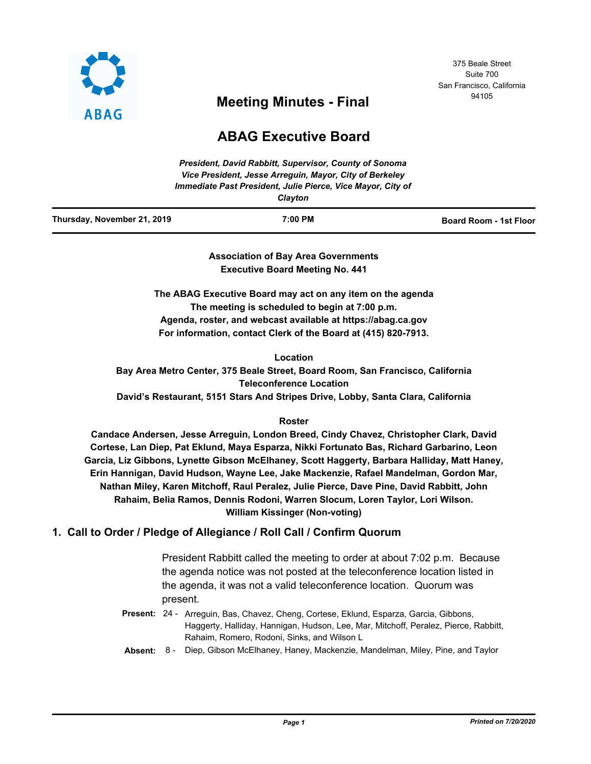

## 375 Beale Street Suite 700 San Francisco, California

# <sup>94105</sup> **Meeting Minutes - Final**

# **ABAG Executive Board**

| <b>President, David Rabbitt, Supervisor, County of Sonoma</b> |
|---------------------------------------------------------------|
| Vice President, Jesse Arreguin, Mayor, City of Berkeley       |
| Immediate Past President, Julie Pierce, Vice Mayor, City of   |
| $\bigcap_{n \in \mathbb{N}} \mathcal{A}_{n}$                  |

| Clavton |
|---------|
|---------|

| Thursday, November 21, 2019 | 7:00 PM | <b>Board Room - 1st Floor</b> |
|-----------------------------|---------|-------------------------------|
|                             |         |                               |

**Association of Bay Area Governments Executive Board Meeting No. 441**

**The ABAG Executive Board may act on any item on the agenda The meeting is scheduled to begin at 7:00 p.m. Agenda, roster, and webcast available at https://abag.ca.gov For information, contact Clerk of the Board at (415) 820-7913.**

**Location**

**Bay Area Metro Center, 375 Beale Street, Board Room, San Francisco, California Teleconference Location David's Restaurant, 5151 Stars And Stripes Drive, Lobby, Santa Clara, California**

## **Roster**

**Candace Andersen, Jesse Arreguin, London Breed, Cindy Chavez, Christopher Clark, David Cortese, Lan Diep, Pat Eklund, Maya Esparza, Nikki Fortunato Bas, Richard Garbarino, Leon Garcia, Liz Gibbons, Lynette Gibson McElhaney, Scott Haggerty, Barbara Halliday, Matt Haney, Erin Hannigan, David Hudson, Wayne Lee, Jake Mackenzie, Rafael Mandelman, Gordon Mar, Nathan Miley, Karen Mitchoff, Raul Peralez, Julie Pierce, Dave Pine, David Rabbitt, John Rahaim, Belia Ramos, Dennis Rodoni, Warren Slocum, Loren Taylor, Lori Wilson. William Kissinger (Non-voting)**

## **1. Call to Order / Pledge of Allegiance / Roll Call / Confirm Quorum**

President Rabbitt called the meeting to order at about 7:02 p.m. Because the agenda notice was not posted at the teleconference location listed in the agenda, it was not a valid teleconference location. Quorum was present.

- Present: 24 Arreguin, Bas, Chavez, Cheng, Cortese, Eklund, Esparza, Garcia, Gibbons, Haggerty, Halliday, Hannigan, Hudson, Lee, Mar, Mitchoff, Peralez, Pierce, Rabbitt, Rahaim, Romero, Rodoni, Sinks, and Wilson L
- **Absent:** 8 Diep, Gibson McElhaney, Haney, Mackenzie, Mandelman, Miley, Pine, and Taylor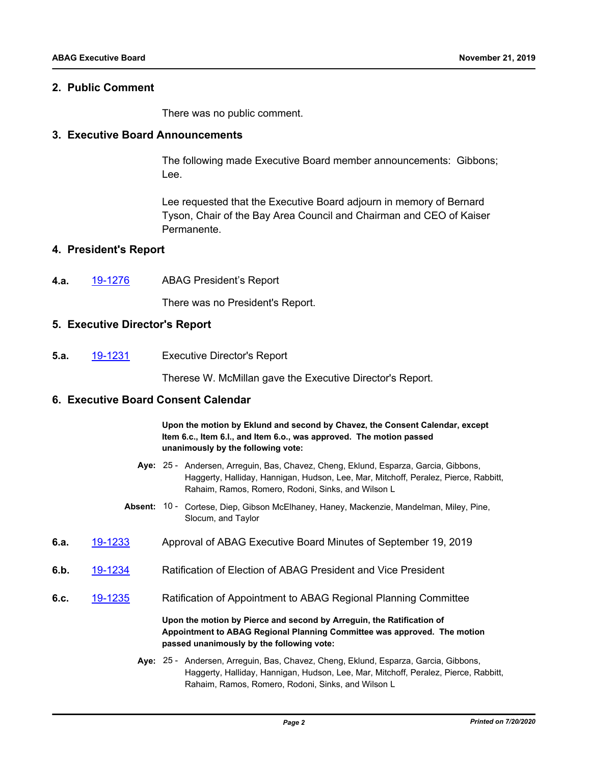## **2. Public Comment**

There was no public comment.

### **3. Executive Board Announcements**

The following made Executive Board member announcements: Gibbons; Lee.

Lee requested that the Executive Board adjourn in memory of Bernard Tyson, Chair of the Bay Area Council and Chairman and CEO of Kaiser Permanente.

### **4. President's Report**

**4.a.** [19-1276](http://mtc.legistar.com/gateway.aspx?m=l&id=/matter.aspx?key=19737) ABAG President's Report

There was no President's Report.

## **5. Executive Director's Report**

**5.a.** [19-1231](http://mtc.legistar.com/gateway.aspx?m=l&id=/matter.aspx?key=19692) Executive Director's Report

Therese W. McMillan gave the Executive Director's Report.

### **6. Executive Board Consent Calendar**

**Upon the motion by Eklund and second by Chavez, the Consent Calendar, except Item 6.c., Item 6.l., and Item 6.o., was approved. The motion passed unanimously by the following vote:**

- Aye: 25 Andersen, Arreguin, Bas, Chavez, Cheng, Eklund, Esparza, Garcia, Gibbons, Haggerty, Halliday, Hannigan, Hudson, Lee, Mar, Mitchoff, Peralez, Pierce, Rabbitt, Rahaim, Ramos, Romero, Rodoni, Sinks, and Wilson L
- Absent: 10 Cortese, Diep, Gibson McElhaney, Haney, Mackenzie, Mandelman, Miley, Pine, Slocum, and Taylor
- **6.a.** [19-1233](http://mtc.legistar.com/gateway.aspx?m=l&id=/matter.aspx?key=19694) Approval of ABAG Executive Board Minutes of September 19, 2019
- **6.b.** [19-1234](http://mtc.legistar.com/gateway.aspx?m=l&id=/matter.aspx?key=19695) Ratification of Election of ABAG President and Vice President
- **6.c.** [19-1235](http://mtc.legistar.com/gateway.aspx?m=l&id=/matter.aspx?key=19696) Ratification of Appointment to ABAG Regional Planning Committee

**Upon the motion by Pierce and second by Arreguin, the Ratification of Appointment to ABAG Regional Planning Committee was approved. The motion passed unanimously by the following vote:**

Aye: 25 - Andersen, Arreguin, Bas, Chavez, Cheng, Eklund, Esparza, Garcia, Gibbons, Haggerty, Halliday, Hannigan, Hudson, Lee, Mar, Mitchoff, Peralez, Pierce, Rabbitt, Rahaim, Ramos, Romero, Rodoni, Sinks, and Wilson L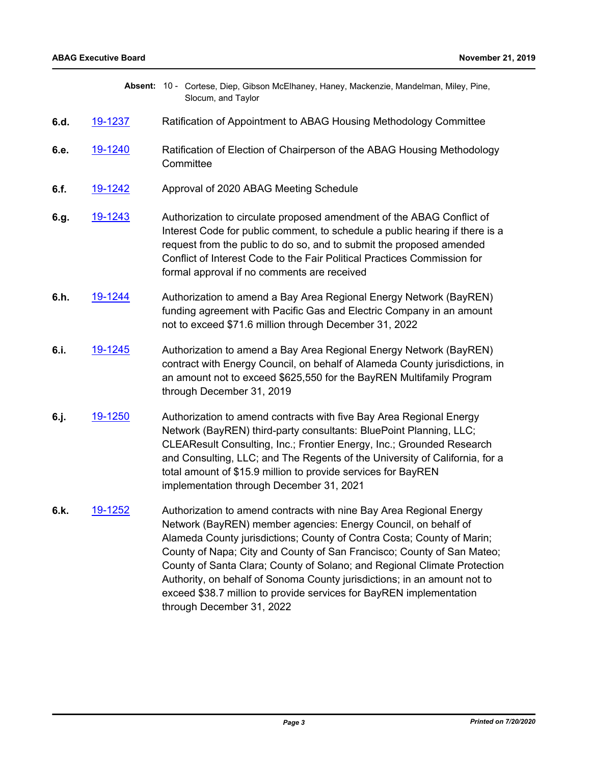|      |                | Absent: 10 - Cortese, Diep, Gibson McElhaney, Haney, Mackenzie, Mandelman, Miley, Pine,<br>Slocum, and Taylor                                                                                                                                                                                                                                                                                                                                                                                                                                         |
|------|----------------|-------------------------------------------------------------------------------------------------------------------------------------------------------------------------------------------------------------------------------------------------------------------------------------------------------------------------------------------------------------------------------------------------------------------------------------------------------------------------------------------------------------------------------------------------------|
| 6.d. | 19-1237        | Ratification of Appointment to ABAG Housing Methodology Committee                                                                                                                                                                                                                                                                                                                                                                                                                                                                                     |
| 6.e. | 19-1240        | Ratification of Election of Chairperson of the ABAG Housing Methodology<br>Committee                                                                                                                                                                                                                                                                                                                                                                                                                                                                  |
| 6.f. | <u>19-1242</u> | Approval of 2020 ABAG Meeting Schedule                                                                                                                                                                                                                                                                                                                                                                                                                                                                                                                |
| 6.g. | 19-1243        | Authorization to circulate proposed amendment of the ABAG Conflict of<br>Interest Code for public comment, to schedule a public hearing if there is a<br>request from the public to do so, and to submit the proposed amended<br>Conflict of Interest Code to the Fair Political Practices Commission for<br>formal approval if no comments are received                                                                                                                                                                                              |
| 6.h. | 19-1244        | Authorization to amend a Bay Area Regional Energy Network (BayREN)<br>funding agreement with Pacific Gas and Electric Company in an amount<br>not to exceed \$71.6 million through December 31, 2022                                                                                                                                                                                                                                                                                                                                                  |
| 6.i. | <u>19-1245</u> | Authorization to amend a Bay Area Regional Energy Network (BayREN)<br>contract with Energy Council, on behalf of Alameda County jurisdictions, in<br>an amount not to exceed \$625,550 for the BayREN Multifamily Program<br>through December 31, 2019                                                                                                                                                                                                                                                                                                |
| 6.j. | <u>19-1250</u> | Authorization to amend contracts with five Bay Area Regional Energy<br>Network (BayREN) third-party consultants: BluePoint Planning, LLC;<br>CLEAResult Consulting, Inc.; Frontier Energy, Inc.; Grounded Research<br>and Consulting, LLC; and The Regents of the University of California, for a<br>total amount of \$15.9 million to provide services for BayREN<br>implementation through December 31, 2021                                                                                                                                        |
| 6.k. | <u>19-1252</u> | Authorization to amend contracts with nine Bay Area Regional Energy<br>Network (BayREN) member agencies: Energy Council, on behalf of<br>Alameda County jurisdictions; County of Contra Costa; County of Marin;<br>County of Napa; City and County of San Francisco; County of San Mateo;<br>County of Santa Clara; County of Solano; and Regional Climate Protection<br>Authority, on behalf of Sonoma County jurisdictions; in an amount not to<br>exceed \$38.7 million to provide services for BayREN implementation<br>through December 31, 2022 |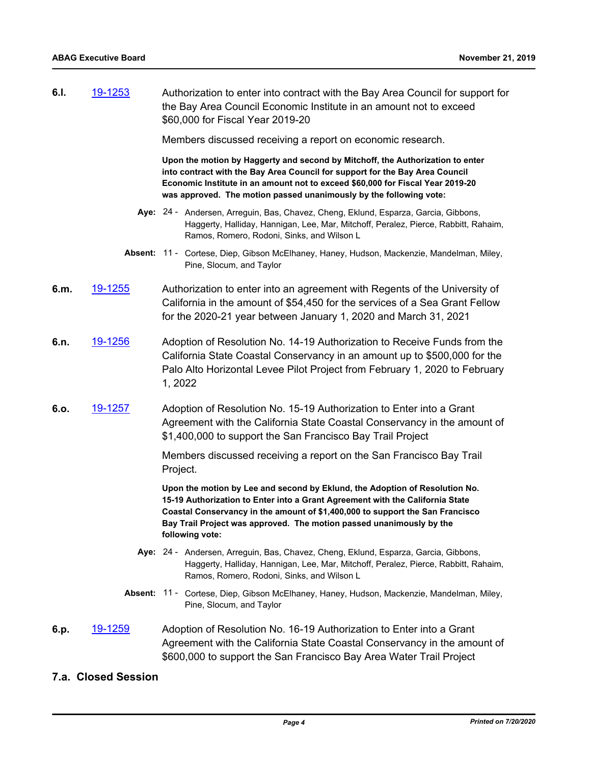**6.l.** [19-1253](http://mtc.legistar.com/gateway.aspx?m=l&id=/matter.aspx?key=19714) Authorization to enter into contract with the Bay Area Council for support for the Bay Area Council Economic Institute in an amount not to exceed \$60,000 for Fiscal Year 2019-20

Members discussed receiving a report on economic research.

**Upon the motion by Haggerty and second by Mitchoff, the Authorization to enter into contract with the Bay Area Council for support for the Bay Area Council Economic Institute in an amount not to exceed \$60,000 for Fiscal Year 2019-20 was approved. The motion passed unanimously by the following vote:**

- Aye: 24 Andersen, Arreguin, Bas, Chavez, Cheng, Eklund, Esparza, Garcia, Gibbons, Haggerty, Halliday, Hannigan, Lee, Mar, Mitchoff, Peralez, Pierce, Rabbitt, Rahaim, Ramos, Romero, Rodoni, Sinks, and Wilson L
- Absent: 11 Cortese, Diep, Gibson McElhaney, Haney, Hudson, Mackenzie, Mandelman, Miley, Pine, Slocum, and Taylor
- **6.m.** [19-1255](http://mtc.legistar.com/gateway.aspx?m=l&id=/matter.aspx?key=19716) Authorization to enter into an agreement with Regents of the University of California in the amount of \$54,450 for the services of a Sea Grant Fellow for the 2020-21 year between January 1, 2020 and March 31, 2021
- **6.n.** [19-1256](http://mtc.legistar.com/gateway.aspx?m=l&id=/matter.aspx?key=19717) Adoption of Resolution No. 14-19 Authorization to Receive Funds from the California State Coastal Conservancy in an amount up to \$500,000 for the Palo Alto Horizontal Levee Pilot Project from February 1, 2020 to February 1, 2022
- **6.o.** [19-1257](http://mtc.legistar.com/gateway.aspx?m=l&id=/matter.aspx?key=19718) Adoption of Resolution No. 15-19 Authorization to Enter into a Grant Agreement with the California State Coastal Conservancy in the amount of \$1,400,000 to support the San Francisco Bay Trail Project

Members discussed receiving a report on the San Francisco Bay Trail Project.

**Upon the motion by Lee and second by Eklund, the Adoption of Resolution No. 15-19 Authorization to Enter into a Grant Agreement with the California State Coastal Conservancy in the amount of \$1,400,000 to support the San Francisco Bay Trail Project was approved. The motion passed unanimously by the following vote:**

- Aye: 24 Andersen, Arreguin, Bas, Chavez, Cheng, Eklund, Esparza, Garcia, Gibbons, Haggerty, Halliday, Hannigan, Lee, Mar, Mitchoff, Peralez, Pierce, Rabbitt, Rahaim, Ramos, Romero, Rodoni, Sinks, and Wilson L
- Absent: 11 Cortese, Diep, Gibson McElhaney, Haney, Hudson, Mackenzie, Mandelman, Miley, Pine, Slocum, and Taylor

## **6.p.** [19-1259](http://mtc.legistar.com/gateway.aspx?m=l&id=/matter.aspx?key=19720) Adoption of Resolution No. 16-19 Authorization to Enter into a Grant Agreement with the California State Coastal Conservancy in the amount of \$600,000 to support the San Francisco Bay Area Water Trail Project

## **7.a. Closed Session**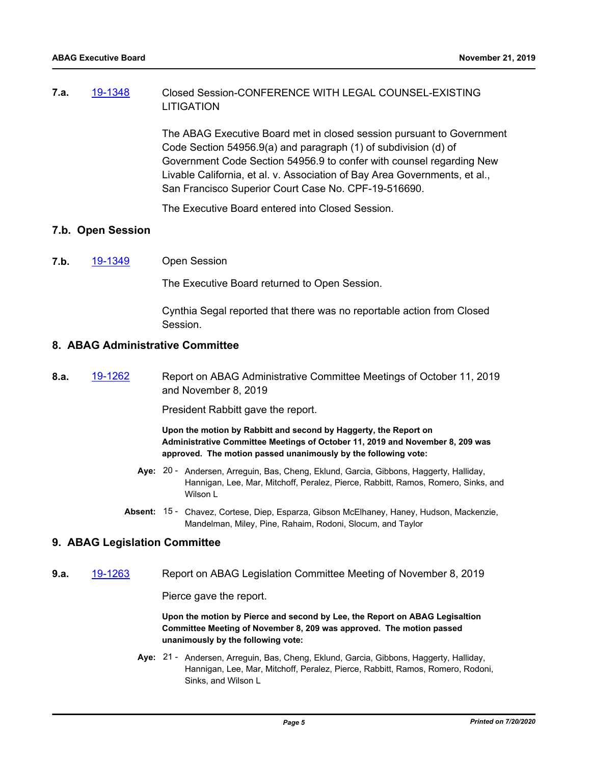## **7.a.** [19-1348](http://mtc.legistar.com/gateway.aspx?m=l&id=/matter.aspx?key=19809) Closed Session-CONFERENCE WITH LEGAL COUNSEL-EXISTING LITIGATION

The ABAG Executive Board met in closed session pursuant to Government Code Section 54956.9(a) and paragraph (1) of subdivision (d) of Government Code Section 54956.9 to confer with counsel regarding New Livable California, et al. v. Association of Bay Area Governments, et al., San Francisco Superior Court Case No. CPF-19-516690.

The Executive Board entered into Closed Session.

## **7.b. Open Session**

**7.b.** [19-1349](http://mtc.legistar.com/gateway.aspx?m=l&id=/matter.aspx?key=19810) Open Session

The Executive Board returned to Open Session.

Cynthia Segal reported that there was no reportable action from Closed Session.

## **8. ABAG Administrative Committee**

**8.a.** [19-1262](http://mtc.legistar.com/gateway.aspx?m=l&id=/matter.aspx?key=19723) Report on ABAG Administrative Committee Meetings of October 11, 2019 and November 8, 2019

President Rabbitt gave the report.

**Upon the motion by Rabbitt and second by Haggerty, the Report on Administrative Committee Meetings of October 11, 2019 and November 8, 209 was approved. The motion passed unanimously by the following vote:**

- Aye: 20 Andersen, Arreguin, Bas, Cheng, Eklund, Garcia, Gibbons, Haggerty, Halliday, Hannigan, Lee, Mar, Mitchoff, Peralez, Pierce, Rabbitt, Ramos, Romero, Sinks, and Wilson L
- Absent: 15 Chavez, Cortese, Diep, Esparza, Gibson McElhaney, Haney, Hudson, Mackenzie, Mandelman, Miley, Pine, Rahaim, Rodoni, Slocum, and Taylor

### **9. ABAG Legislation Committee**

**9.a.** [19-1263](http://mtc.legistar.com/gateway.aspx?m=l&id=/matter.aspx?key=19724) Report on ABAG Legislation Committee Meeting of November 8, 2019

Pierce gave the report.

**Upon the motion by Pierce and second by Lee, the Report on ABAG Legisaltion Committee Meeting of November 8, 209 was approved. The motion passed unanimously by the following vote:**

Aye: 21 - Andersen, Arreguin, Bas, Cheng, Eklund, Garcia, Gibbons, Haggerty, Halliday, Hannigan, Lee, Mar, Mitchoff, Peralez, Pierce, Rabbitt, Ramos, Romero, Rodoni, Sinks, and Wilson L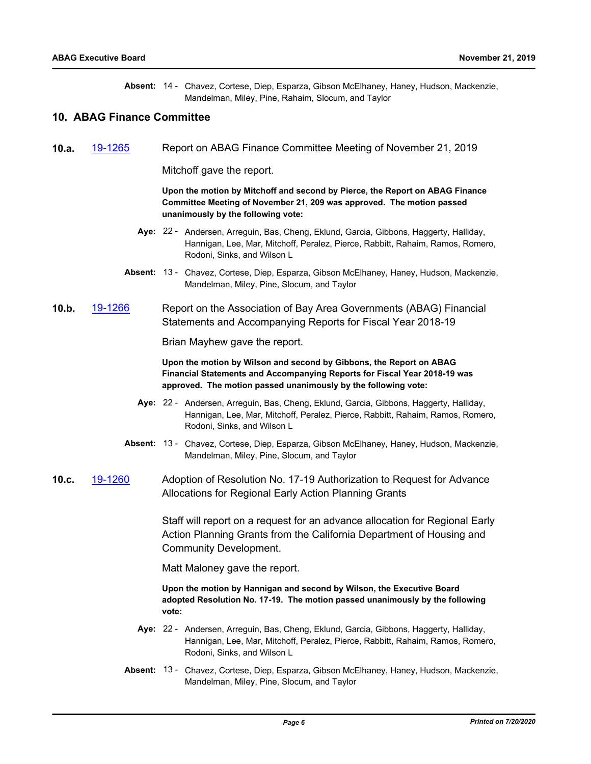Absent: 14 - Chavez, Cortese, Diep, Esparza, Gibson McElhaney, Haney, Hudson, Mackenzie, Mandelman, Miley, Pine, Rahaim, Slocum, and Taylor

## **10. ABAG Finance Committee**

**10.a.** [19-1265](http://mtc.legistar.com/gateway.aspx?m=l&id=/matter.aspx?key=19726) Report on ABAG Finance Committee Meeting of November 21, 2019

Mitchoff gave the report.

**Upon the motion by Mitchoff and second by Pierce, the Report on ABAG Finance Committee Meeting of November 21, 209 was approved. The motion passed unanimously by the following vote:**

- Aye: 22 Andersen, Arreguin, Bas, Cheng, Eklund, Garcia, Gibbons, Haggerty, Halliday, Hannigan, Lee, Mar, Mitchoff, Peralez, Pierce, Rabbitt, Rahaim, Ramos, Romero, Rodoni, Sinks, and Wilson L
- Absent: 13 Chavez, Cortese, Diep, Esparza, Gibson McElhaney, Haney, Hudson, Mackenzie, Mandelman, Miley, Pine, Slocum, and Taylor
- **10.b.** [19-1266](http://mtc.legistar.com/gateway.aspx?m=l&id=/matter.aspx?key=19727) Report on the Association of Bay Area Governments (ABAG) Financial Statements and Accompanying Reports for Fiscal Year 2018-19

Brian Mayhew gave the report.

**Upon the motion by Wilson and second by Gibbons, the Report on ABAG Financial Statements and Accompanying Reports for Fiscal Year 2018-19 was approved. The motion passed unanimously by the following vote:**

- Aye: 22 Andersen, Arreguin, Bas, Cheng, Eklund, Garcia, Gibbons, Haggerty, Halliday, Hannigan, Lee, Mar, Mitchoff, Peralez, Pierce, Rabbitt, Rahaim, Ramos, Romero, Rodoni, Sinks, and Wilson L
- Absent: 13 Chavez, Cortese, Diep, Esparza, Gibson McElhaney, Haney, Hudson, Mackenzie, Mandelman, Miley, Pine, Slocum, and Taylor
- **10.c.** [19-1260](http://mtc.legistar.com/gateway.aspx?m=l&id=/matter.aspx?key=19721) Adoption of Resolution No. 17-19 Authorization to Request for Advance Allocations for Regional Early Action Planning Grants

Staff will report on a request for an advance allocation for Regional Early Action Planning Grants from the California Department of Housing and Community Development.

Matt Maloney gave the report.

**Upon the motion by Hannigan and second by Wilson, the Executive Board adopted Resolution No. 17-19. The motion passed unanimously by the following vote:**

- Aye: 22 Andersen, Arreguin, Bas, Cheng, Eklund, Garcia, Gibbons, Haggerty, Halliday, Hannigan, Lee, Mar, Mitchoff, Peralez, Pierce, Rabbitt, Rahaim, Ramos, Romero, Rodoni, Sinks, and Wilson L
- Absent: 13 Chavez, Cortese, Diep, Esparza, Gibson McElhaney, Haney, Hudson, Mackenzie, Mandelman, Miley, Pine, Slocum, and Taylor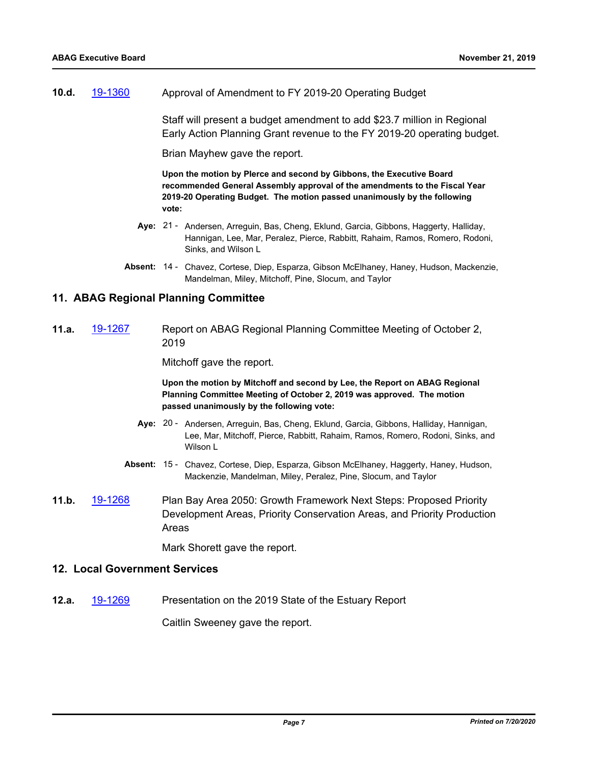**10.d.** [19-1360](http://mtc.legistar.com/gateway.aspx?m=l&id=/matter.aspx?key=19821) Approval of Amendment to FY 2019-20 Operating Budget

Staff will present a budget amendment to add \$23.7 million in Regional Early Action Planning Grant revenue to the FY 2019-20 operating budget.

Brian Mayhew gave the report.

**Upon the motion by PIerce and second by Gibbons, the Executive Board recommended General Assembly approval of the amendments to the Fiscal Year 2019-20 Operating Budget. The motion passed unanimously by the following vote:**

- Aye: 21 Andersen, Arreguin, Bas, Cheng, Eklund, Garcia, Gibbons, Haggerty, Halliday, Hannigan, Lee, Mar, Peralez, Pierce, Rabbitt, Rahaim, Ramos, Romero, Rodoni, Sinks, and Wilson L
- Absent: 14 Chavez, Cortese, Diep, Esparza, Gibson McElhaney, Haney, Hudson, Mackenzie, Mandelman, Miley, Mitchoff, Pine, Slocum, and Taylor

## **11. ABAG Regional Planning Committee**

**11.a.** [19-1267](http://mtc.legistar.com/gateway.aspx?m=l&id=/matter.aspx?key=19728) Report on ABAG Regional Planning Committee Meeting of October 2, 2019

Mitchoff gave the report.

**Upon the motion by Mitchoff and second by Lee, the Report on ABAG Regional Planning Committee Meeting of October 2, 2019 was approved. The motion passed unanimously by the following vote:**

- Aye: 20 Andersen, Arreguin, Bas, Cheng, Eklund, Garcia, Gibbons, Halliday, Hannigan, Lee, Mar, Mitchoff, Pierce, Rabbitt, Rahaim, Ramos, Romero, Rodoni, Sinks, and Wilson L
- Absent: 15 Chavez, Cortese, Diep, Esparza, Gibson McElhaney, Haggerty, Haney, Hudson, Mackenzie, Mandelman, Miley, Peralez, Pine, Slocum, and Taylor
- **11.b.** [19-1268](http://mtc.legistar.com/gateway.aspx?m=l&id=/matter.aspx?key=19729) Plan Bay Area 2050: Growth Framework Next Steps: Proposed Priority Development Areas, Priority Conservation Areas, and Priority Production Areas

Mark Shorett gave the report.

## **12. Local Government Services**

**12.a.** [19-1269](http://mtc.legistar.com/gateway.aspx?m=l&id=/matter.aspx?key=19730) Presentation on the 2019 State of the Estuary Report

Caitlin Sweeney gave the report.